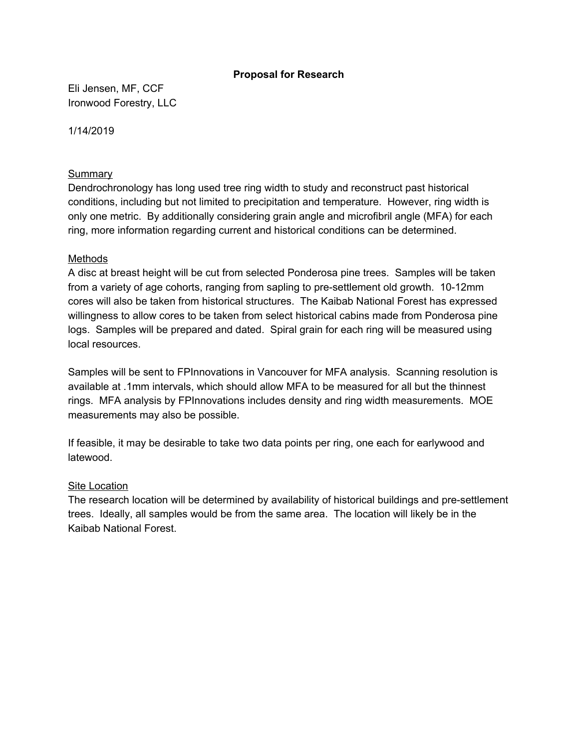## **Proposal for Research**

Eli Jensen, MF, CCF Ironwood Forestry, LLC

1/14/2019

### **Summary**

Dendrochronology has long used tree ring width to study and reconstruct past historical conditions, including but not limited to precipitation and temperature. However, ring width is only one metric. By additionally considering grain angle and microfibril angle (MFA) for each ring, more information regarding current and historical conditions can be determined.

#### Methods

A disc at breast height will be cut from selected Ponderosa pine trees. Samples will be taken from a variety of age cohorts, ranging from sapling to pre-settlement old growth. 10-12mm cores will also be taken from historical structures. The Kaibab National Forest has expressed willingness to allow cores to be taken from select historical cabins made from Ponderosa pine logs. Samples will be prepared and dated. Spiral grain for each ring will be measured using local resources.

Samples will be sent to FPInnovations in Vancouver for MFA analysis. Scanning resolution is available at .1mm intervals, which should allow MFA to be measured for all but the thinnest rings. MFA analysis by FPInnovations includes density and ring width measurements. MOE measurements may also be possible.

If feasible, it may be desirable to take two data points per ring, one each for earlywood and latewood.

## Site Location

The research location will be determined by availability of historical buildings and pre-settlement trees. Ideally, all samples would be from the same area. The location will likely be in the Kaibab National Forest.